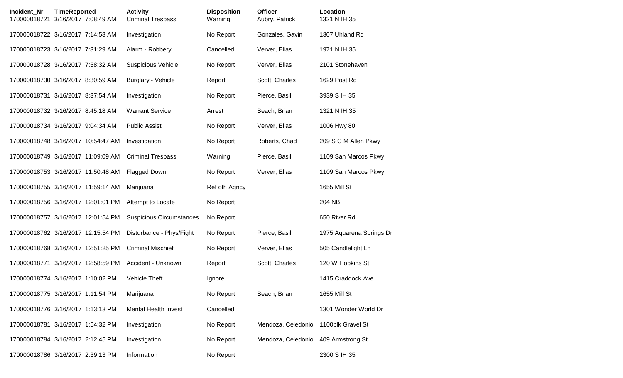| Incident Nr<br>170000018721 | <b>TimeReported</b><br>3/16/2017 7:08:49 AM | <b>Activity</b><br><b>Criminal Trespass</b> | <b>Disposition</b><br>Warning | <b>Officer</b><br>Aubry, Patrick | Location<br>1321 N IH 35 |
|-----------------------------|---------------------------------------------|---------------------------------------------|-------------------------------|----------------------------------|--------------------------|
|                             | 170000018722 3/16/2017 7:14:53 AM           | Investigation                               | No Report                     | Gonzales, Gavin                  | 1307 Uhland Rd           |
|                             | 170000018723 3/16/2017 7:31:29 AM           | Alarm - Robbery                             | Cancelled                     | Verver, Elias                    | 1971 N IH 35             |
|                             | 170000018728 3/16/2017 7:58:32 AM           | <b>Suspicious Vehicle</b>                   | No Report                     | Verver, Elias                    | 2101 Stonehaven          |
|                             | 170000018730 3/16/2017 8:30:59 AM           | Burglary - Vehicle                          | Report                        | Scott, Charles                   | 1629 Post Rd             |
|                             | 170000018731 3/16/2017 8:37:54 AM           | Investigation                               | No Report                     | Pierce, Basil                    | 3939 S IH 35             |
|                             | 170000018732 3/16/2017 8:45:18 AM           | <b>Warrant Service</b>                      | Arrest                        | Beach, Brian                     | 1321 N IH 35             |
|                             | 170000018734 3/16/2017 9:04:34 AM           | <b>Public Assist</b>                        | No Report                     | Verver, Elias                    | 1006 Hwy 80              |
|                             | 170000018748 3/16/2017 10:54:47 AM          | Investigation                               | No Report                     | Roberts, Chad                    | 209 S C M Allen Pkwy     |
|                             | 170000018749 3/16/2017 11:09:09 AM          | <b>Criminal Trespass</b>                    | Warning                       | Pierce, Basil                    | 1109 San Marcos Pkwy     |
|                             | 170000018753 3/16/2017 11:50:48 AM          | <b>Flagged Down</b>                         | No Report                     | Verver, Elias                    | 1109 San Marcos Pkwy     |
|                             | 170000018755 3/16/2017 11:59:14 AM          | Marijuana                                   | Ref oth Agncy                 |                                  | 1655 Mill St             |
|                             | 170000018756 3/16/2017 12:01:01 PM          | Attempt to Locate                           | No Report                     |                                  | 204 NB                   |
|                             | 170000018757 3/16/2017 12:01:54 PM          | <b>Suspicious Circumstances</b>             | No Report                     |                                  | 650 River Rd             |
|                             | 170000018762 3/16/2017 12:15:54 PM          | Disturbance - Phys/Fight                    | No Report                     | Pierce, Basil                    | 1975 Aquarena Springs Dr |
|                             | 170000018768 3/16/2017 12:51:25 PM          | <b>Criminal Mischief</b>                    | No Report                     | Verver, Elias                    | 505 Candlelight Ln       |
|                             | 170000018771 3/16/2017 12:58:59 PM          | Accident - Unknown                          | Report                        | Scott, Charles                   | 120 W Hopkins St         |
|                             | 170000018774 3/16/2017 1:10:02 PM           | Vehicle Theft                               | Ignore                        |                                  | 1415 Craddock Ave        |
|                             | 170000018775 3/16/2017 1:11:54 PM           | Marijuana                                   | No Report                     | Beach, Brian                     | 1655 Mill St             |
|                             | 170000018776 3/16/2017 1:13:13 PM           | <b>Mental Health Invest</b>                 | Cancelled                     |                                  | 1301 Wonder World Dr     |
|                             | 170000018781 3/16/2017 1:54:32 PM           | Investigation                               | No Report                     | Mendoza, Celedonio               | 1100blk Gravel St        |
|                             | 170000018784 3/16/2017 2:12:45 PM           | Investigation                               | No Report                     | Mendoza, Celedonio               | 409 Armstrong St         |
|                             | 170000018786 3/16/2017 2:39:13 PM           | Information                                 | No Report                     |                                  | 2300 S IH 35             |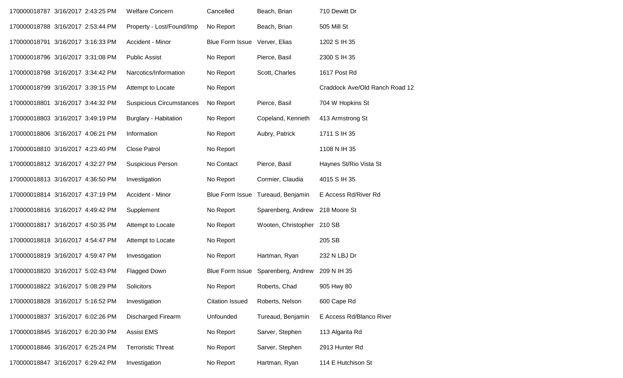| 170000018787 3/16/2017 2:43:25 PM | <b>Welfare Concern</b>          | Cancelled                     | Beach, Brian               | 710 Dewitt Dr                  |
|-----------------------------------|---------------------------------|-------------------------------|----------------------------|--------------------------------|
| 170000018788 3/16/2017 2:53:44 PM | Property - Lost/Found/Imp       | No Report                     | Beach, Brian               | 505 Mill St                    |
| 170000018791 3/16/2017 3:16:33 PM | Accident - Minor                | Blue Form Issue Verver, Elias |                            | 1202 S IH 35                   |
| 170000018796 3/16/2017 3:31:08 PM | <b>Public Assist</b>            | No Report                     | Pierce, Basil              | 2300 S IH 35                   |
| 170000018798 3/16/2017 3:34:42 PM | Narcotics/Information           | No Report                     | Scott, Charles             | 1617 Post Rd                   |
| 170000018799 3/16/2017 3:39:15 PM | Attempt to Locate               | No Report                     |                            | Craddock Ave/Old Ranch Road 12 |
| 170000018801 3/16/2017 3:44:32 PM | <b>Suspicious Circumstances</b> | No Report                     | Pierce, Basil              | 704 W Hopkins St               |
| 170000018803 3/16/2017 3:49:19 PM | <b>Burglary - Habitation</b>    | No Report                     | Copeland, Kenneth          | 413 Armstrong St               |
| 170000018806 3/16/2017 4:06:21 PM | Information                     | No Report                     | Aubry, Patrick             | 1711 S IH 35                   |
| 170000018810 3/16/2017 4:23:40 PM | <b>Close Patrol</b>             | No Report                     |                            | 1108 N IH 35                   |
| 170000018812 3/16/2017 4:32:27 PM | <b>Suspicious Person</b>        | No Contact                    | Pierce, Basil              | Haynes St/Rio Vista St         |
| 170000018813 3/16/2017 4:36:50 PM | Investigation                   | No Report                     | Cormier, Claudia           | 4015 S IH 35                   |
| 170000018814 3/16/2017 4:37:19 PM | Accident - Minor                | Blue Form Issue               | Tureaud, Benjamin          | E Access Rd/River Rd           |
| 170000018816 3/16/2017 4:49:42 PM | Supplement                      | No Report                     | Sparenberg, Andrew         | 218 Moore St                   |
| 170000018817 3/16/2017 4:50:35 PM | Attempt to Locate               | No Report                     | Wooten, Christopher 210 SB |                                |
| 170000018818 3/16/2017 4:54:47 PM | Attempt to Locate               | No Report                     |                            | 205 SB                         |
| 170000018819 3/16/2017 4:59:47 PM | Investigation                   | No Report                     | Hartman, Ryan              | 232 N LBJ Dr                   |
| 170000018820 3/16/2017 5:02:43 PM | Flagged Down                    | <b>Blue Form Issue</b>        | Sparenberg, Andrew         | 209 N IH 35                    |
| 170000018822 3/16/2017 5:08:29 PM | Solicitors                      | No Report                     | Roberts, Chad              | 905 Hwy 80                     |
| 170000018828 3/16/2017 5:16:52 PM | Investigation                   | <b>Citation Issued</b>        | Roberts, Nelson            | 600 Cape Rd                    |
| 170000018837 3/16/2017 6:02:26 PM | <b>Discharged Firearm</b>       | Unfounded                     | Tureaud, Benjamin          | E Access Rd/Blanco River       |
| 170000018845 3/16/2017 6:20:30 PM | <b>Assist EMS</b>               | No Report                     | Sarver, Stephen            | 113 Algarita Rd                |
| 170000018846 3/16/2017 6:25:24 PM | <b>Terroristic Threat</b>       | No Report                     | Sarver, Stephen            | 2913 Hunter Rd                 |
| 170000018847 3/16/2017 6:29:42 PM | Investigation                   | No Report                     | Hartman, Ryan              | 114 E Hutchison St             |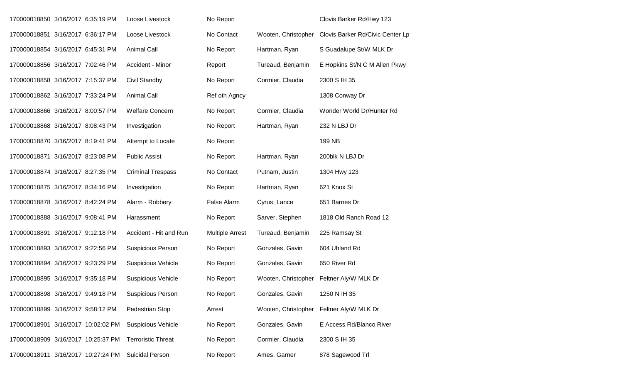| 170000018850 3/16/2017 6:35:19 PM  |  | Loose Livestock           | No Report              |                     | Clovis Barker Rd/Hwy 123         |
|------------------------------------|--|---------------------------|------------------------|---------------------|----------------------------------|
| 170000018851 3/16/2017 6:36:17 PM  |  | Loose Livestock           | No Contact             | Wooten, Christopher | Clovis Barker Rd/Civic Center Lp |
| 170000018854 3/16/2017 6:45:31 PM  |  | <b>Animal Call</b>        | No Report              | Hartman, Ryan       | S Guadalupe St/W MLK Dr          |
| 170000018856 3/16/2017 7:02:46 PM  |  | Accident - Minor          | Report                 | Tureaud, Benjamin   | E Hopkins St/N C M Allen Pkwy    |
| 170000018858 3/16/2017 7:15:37 PM  |  | Civil Standby             | No Report              | Cormier, Claudia    | 2300 S IH 35                     |
| 170000018862 3/16/2017 7:33:24 PM  |  | <b>Animal Call</b>        | Ref oth Agncy          |                     | 1308 Conway Dr                   |
| 170000018866 3/16/2017 8:00:57 PM  |  | <b>Welfare Concern</b>    | No Report              | Cormier, Claudia    | Wonder World Dr/Hunter Rd        |
| 170000018868 3/16/2017 8:08:43 PM  |  | Investigation             | No Report              | Hartman, Ryan       | 232 N LBJ Dr                     |
| 170000018870 3/16/2017 8:19:41 PM  |  | Attempt to Locate         | No Report              |                     | 199 NB                           |
| 170000018871 3/16/2017 8:23:08 PM  |  | <b>Public Assist</b>      | No Report              | Hartman, Ryan       | 200blk N LBJ Dr                  |
| 170000018874 3/16/2017 8:27:35 PM  |  | <b>Criminal Trespass</b>  | No Contact             | Putnam, Justin      | 1304 Hwy 123                     |
| 170000018875 3/16/2017 8:34:16 PM  |  | Investigation             | No Report              | Hartman, Ryan       | 621 Knox St                      |
| 170000018878 3/16/2017 8:42:24 PM  |  | Alarm - Robbery           | False Alarm            | Cyrus, Lance        | 651 Barnes Dr                    |
| 170000018888 3/16/2017 9:08:41 PM  |  | Harassment                | No Report              | Sarver, Stephen     | 1818 Old Ranch Road 12           |
| 170000018891 3/16/2017 9:12:18 PM  |  | Accident - Hit and Run    | <b>Multiple Arrest</b> | Tureaud, Benjamin   | 225 Ramsay St                    |
| 170000018893 3/16/2017 9:22:56 PM  |  | <b>Suspicious Person</b>  | No Report              | Gonzales, Gavin     | 604 Uhland Rd                    |
| 170000018894 3/16/2017 9:23:29 PM  |  | <b>Suspicious Vehicle</b> | No Report              | Gonzales, Gavin     | 650 River Rd                     |
| 170000018895 3/16/2017 9:35:18 PM  |  | <b>Suspicious Vehicle</b> | No Report              | Wooten, Christopher | Feltner Aly/W MLK Dr             |
| 170000018898 3/16/2017 9:49:18 PM  |  | <b>Suspicious Person</b>  | No Report              | Gonzales, Gavin     | 1250 N IH 35                     |
| 170000018899 3/16/2017 9:58:12 PM  |  | Pedestrian Stop           | Arrest                 | Wooten, Christopher | Feltner Aly/W MLK Dr             |
| 170000018901 3/16/2017 10:02:02 PM |  | <b>Suspicious Vehicle</b> | No Report              | Gonzales, Gavin     | E Access Rd/Blanco River         |
| 170000018909 3/16/2017 10:25:37 PM |  | <b>Terroristic Threat</b> | No Report              | Cormier, Claudia    | 2300 S IH 35                     |
| 170000018911 3/16/2017 10:27:24 PM |  | <b>Suicidal Person</b>    | No Report              | Ames, Garner        | 878 Sagewood Trl                 |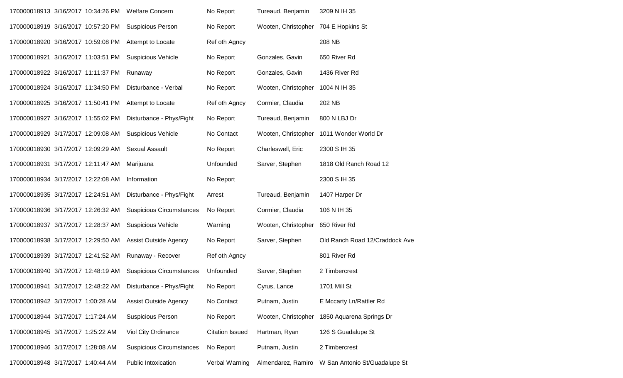| 170000018913 3/16/2017 10:34:26 PM |  | <b>Welfare Concern</b>          | No Report              | Tureaud, Benjamin   | 3209 N IH 35                                     |
|------------------------------------|--|---------------------------------|------------------------|---------------------|--------------------------------------------------|
| 170000018919 3/16/2017 10:57:20 PM |  | <b>Suspicious Person</b>        | No Report              | Wooten, Christopher | 704 E Hopkins St                                 |
| 170000018920 3/16/2017 10:59:08 PM |  | Attempt to Locate               | Ref oth Agncy          |                     | 208 NB                                           |
| 170000018921 3/16/2017 11:03:51 PM |  | <b>Suspicious Vehicle</b>       | No Report              | Gonzales, Gavin     | 650 River Rd                                     |
| 170000018922 3/16/2017 11:11:37 PM |  | Runaway                         | No Report              | Gonzales, Gavin     | 1436 River Rd                                    |
| 170000018924 3/16/2017 11:34:50 PM |  | Disturbance - Verbal            | No Report              | Wooten, Christopher | 1004 N IH 35                                     |
| 170000018925 3/16/2017 11:50:41 PM |  | Attempt to Locate               | Ref oth Agncy          | Cormier, Claudia    | 202 NB                                           |
| 170000018927 3/16/2017 11:55:02 PM |  | Disturbance - Phys/Fight        | No Report              | Tureaud, Benjamin   | 800 N LBJ Dr                                     |
| 170000018929 3/17/2017 12:09:08 AM |  | <b>Suspicious Vehicle</b>       | No Contact             | Wooten, Christopher | 1011 Wonder World Dr                             |
| 170000018930 3/17/2017 12:09:29 AM |  | <b>Sexual Assault</b>           | No Report              | Charleswell, Eric   | 2300 S IH 35                                     |
| 170000018931 3/17/2017 12:11:47 AM |  | Marijuana                       | Unfounded              | Sarver, Stephen     | 1818 Old Ranch Road 12                           |
| 170000018934 3/17/2017 12:22:08 AM |  | Information                     | No Report              |                     | 2300 S IH 35                                     |
| 170000018935 3/17/2017 12:24:51 AM |  | Disturbance - Phys/Fight        | Arrest                 | Tureaud, Benjamin   | 1407 Harper Dr                                   |
| 170000018936 3/17/2017 12:26:32 AM |  | <b>Suspicious Circumstances</b> | No Report              | Cormier, Claudia    | 106 N IH 35                                      |
| 170000018937 3/17/2017 12:28:37 AM |  | <b>Suspicious Vehicle</b>       | Warning                | Wooten, Christopher | 650 River Rd                                     |
| 170000018938 3/17/2017 12:29:50 AM |  | Assist Outside Agency           | No Report              | Sarver, Stephen     | Old Ranch Road 12/Craddock Ave                   |
| 170000018939 3/17/2017 12:41:52 AM |  | Runaway - Recover               | Ref oth Agncy          |                     | 801 River Rd                                     |
| 170000018940 3/17/2017 12:48:19 AM |  | <b>Suspicious Circumstances</b> | Unfounded              | Sarver, Stephen     | 2 Timbercrest                                    |
| 170000018941 3/17/2017 12:48:22 AM |  | Disturbance - Phys/Fight        | No Report              | Cyrus, Lance        | 1701 Mill St                                     |
| 170000018942 3/17/2017 1:00:28 AM  |  | <b>Assist Outside Agency</b>    | No Contact             | Putnam, Justin      | E Mccarty Ln/Rattler Rd                          |
| 170000018944 3/17/2017 1:17:24 AM  |  | <b>Suspicious Person</b>        | No Report              | Wooten, Christopher | 1850 Aquarena Springs Dr                         |
| 170000018945 3/17/2017 1:25:22 AM  |  | Viol City Ordinance             | <b>Citation Issued</b> | Hartman, Ryan       | 126 S Guadalupe St                               |
| 170000018946 3/17/2017 1:28:08 AM  |  | <b>Suspicious Circumstances</b> | No Report              | Putnam, Justin      | 2 Timbercrest                                    |
| 170000018948 3/17/2017 1:40:44 AM  |  | Public Intoxication             | Verbal Warning         |                     | Almendarez, Ramiro W San Antonio St/Guadalupe St |